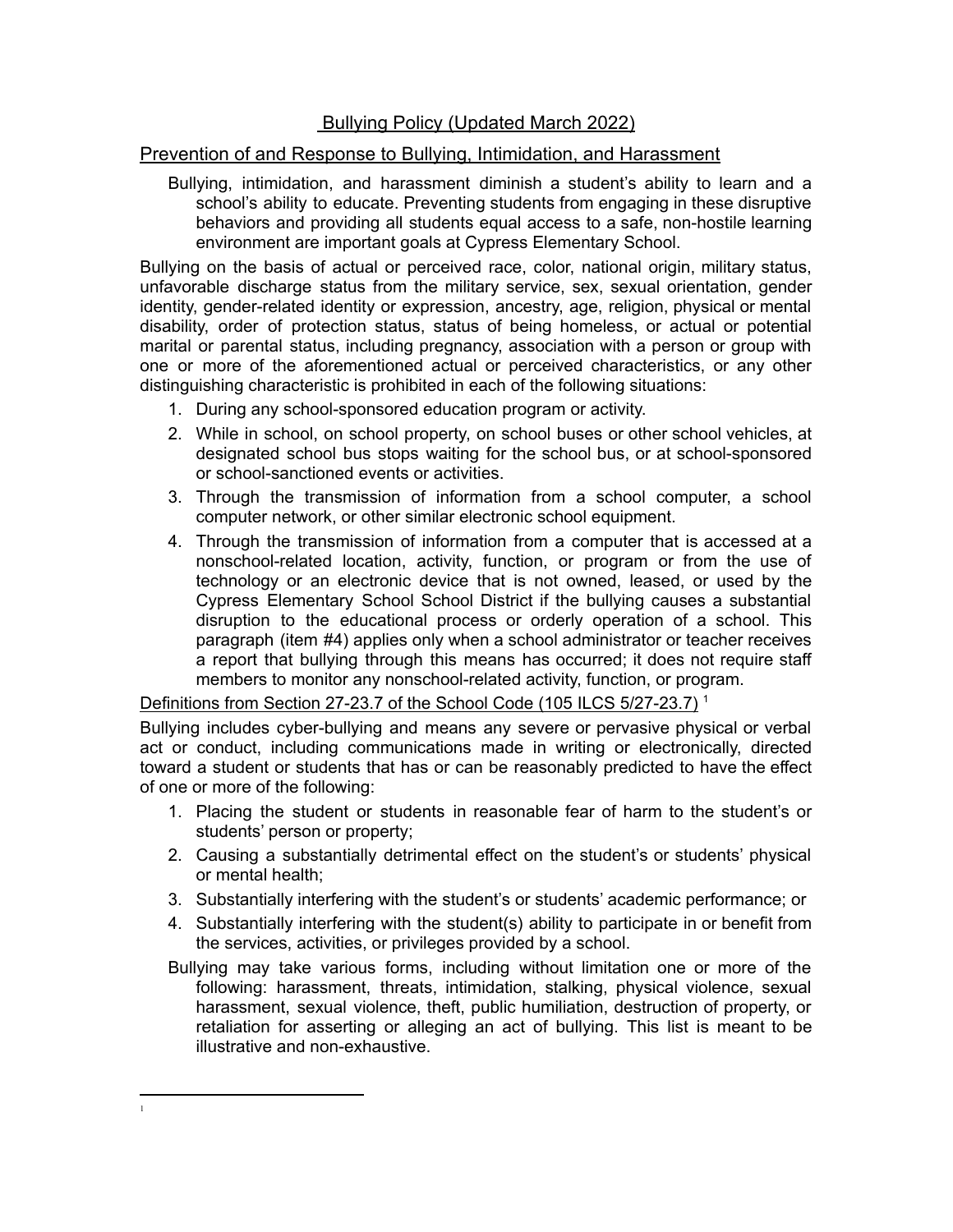## Bullying Policy (Updated March 2022)

## Prevention of and Response to Bullying, Intimidation, and Harassment

Bullying, intimidation, and harassment diminish a student's ability to learn and a school's ability to educate. Preventing students from engaging in these disruptive behaviors and providing all students equal access to a safe, non-hostile learning environment are important goals at Cypress Elementary School.

Bullying on the basis of actual or perceived race, color, national origin, military status, unfavorable discharge status from the military service, sex, sexual orientation, gender identity, gender-related identity or expression, ancestry, age, religion, physical or mental disability, order of protection status, status of being homeless, or actual or potential marital or parental status, including pregnancy, association with a person or group with one or more of the aforementioned actual or perceived characteristics, or any other distinguishing characteristic is prohibited in each of the following situations:

- 1. During any school-sponsored education program or activity.
- 2. While in school, on school property, on school buses or other school vehicles, at designated school bus stops waiting for the school bus, or at school-sponsored or school-sanctioned events or activities.
- 3. Through the transmission of information from a school computer, a school computer network, or other similar electronic school equipment.
- 4. Through the transmission of information from a computer that is accessed at a nonschool-related location, activity, function, or program or from the use of technology or an electronic device that is not owned, leased, or used by the Cypress Elementary School School District if the bullying causes a substantial disruption to the educational process or orderly operation of a school. This paragraph (item #4) applies only when a school administrator or teacher receives a report that bullying through this means has occurred; it does not require staff members to monitor any nonschool-related activity, function, or program.

## Definitions from Section 27-23.7 of the School Code (105 ILCS 5/27-23.7)<sup>1</sup>

Bullying includes cyber-bullying and means any severe or pervasive physical or verbal act or conduct, including communications made in writing or electronically, directed toward a student or students that has or can be reasonably predicted to have the effect of one or more of the following:

- 1. Placing the student or students in reasonable fear of harm to the student's or students' person or property;
- 2. Causing a substantially detrimental effect on the student's or students' physical or mental health;
- 3. Substantially interfering with the student's or students' academic performance; or
- 4. Substantially interfering with the student(s) ability to participate in or benefit from the services, activities, or privileges provided by a school.
- Bullying may take various forms, including without limitation one or more of the following: harassment, threats, intimidation, stalking, physical violence, sexual harassment, sexual violence, theft, public humiliation, destruction of property, or retaliation for asserting or alleging an act of bullying. This list is meant to be illustrative and non-exhaustive.

<sup>1</sup>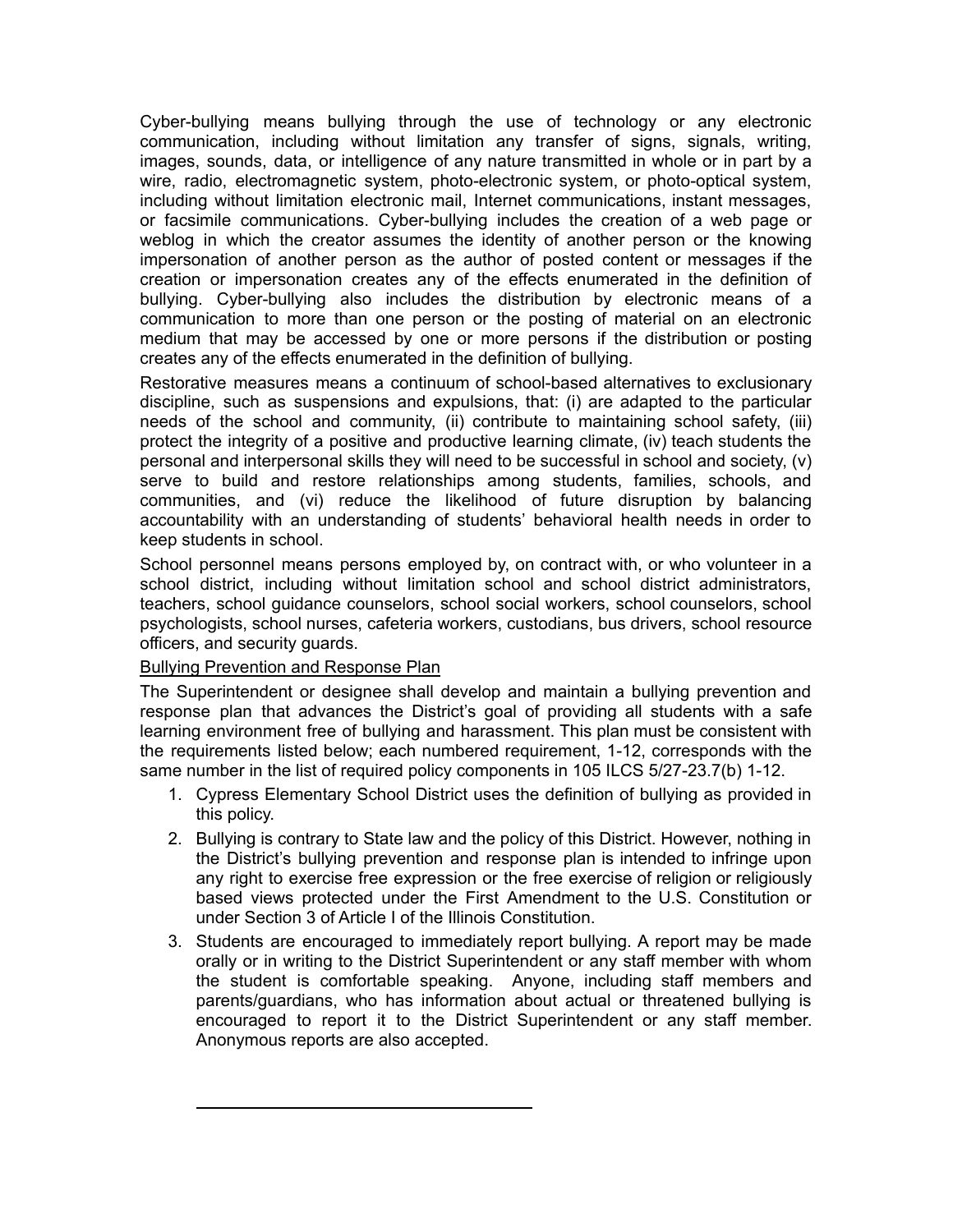Cyber-bullying means bullying through the use of technology or any electronic communication, including without limitation any transfer of signs, signals, writing, images, sounds, data, or intelligence of any nature transmitted in whole or in part by a wire, radio, electromagnetic system, photo-electronic system, or photo-optical system, including without limitation electronic mail, Internet communications, instant messages, or facsimile communications. Cyber-bullying includes the creation of a web page or weblog in which the creator assumes the identity of another person or the knowing impersonation of another person as the author of posted content or messages if the creation or impersonation creates any of the effects enumerated in the definition of bullying. Cyber-bullying also includes the distribution by electronic means of a communication to more than one person or the posting of material on an electronic medium that may be accessed by one or more persons if the distribution or posting creates any of the effects enumerated in the definition of bullying.

Restorative measures means a continuum of school-based alternatives to exclusionary discipline, such as suspensions and expulsions, that: (i) are adapted to the particular needs of the school and community, (ii) contribute to maintaining school safety, (iii) protect the integrity of a positive and productive learning climate, (iv) teach students the personal and interpersonal skills they will need to be successful in school and society, (v) serve to build and restore relationships among students, families, schools, and communities, and (vi) reduce the likelihood of future disruption by balancing accountability with an understanding of students' behavioral health needs in order to keep students in school.

School personnel means persons employed by, on contract with, or who volunteer in a school district, including without limitation school and school district administrators, teachers, school guidance counselors, school social workers, school counselors, school psychologists, school nurses, cafeteria workers, custodians, bus drivers, school resource officers, and security guards.

## Bullying Prevention and Response Plan

The Superintendent or designee shall develop and maintain a bullying prevention and response plan that advances the District's goal of providing all students with a safe learning environment free of bullying and harassment. This plan must be consistent with the requirements listed below; each numbered requirement, 1-12, corresponds with the same number in the list of required policy components in 105 ILCS 5/27-23.7(b) 1-12.

- 1. Cypress Elementary School District uses the definition of bullying as provided in this policy.
- 2. Bullying is contrary to State law and the policy of this District. However, nothing in the District's bullying prevention and response plan is intended to infringe upon any right to exercise free expression or the free exercise of religion or religiously based views protected under the First Amendment to the U.S. Constitution or under Section 3 of Article I of the Illinois Constitution.
- 3. Students are encouraged to immediately report bullying. A report may be made orally or in writing to the District Superintendent or any staff member with whom the student is comfortable speaking. Anyone, including staff members and parents/guardians, who has information about actual or threatened bullying is encouraged to report it to the District Superintendent or any staff member. Anonymous reports are also accepted.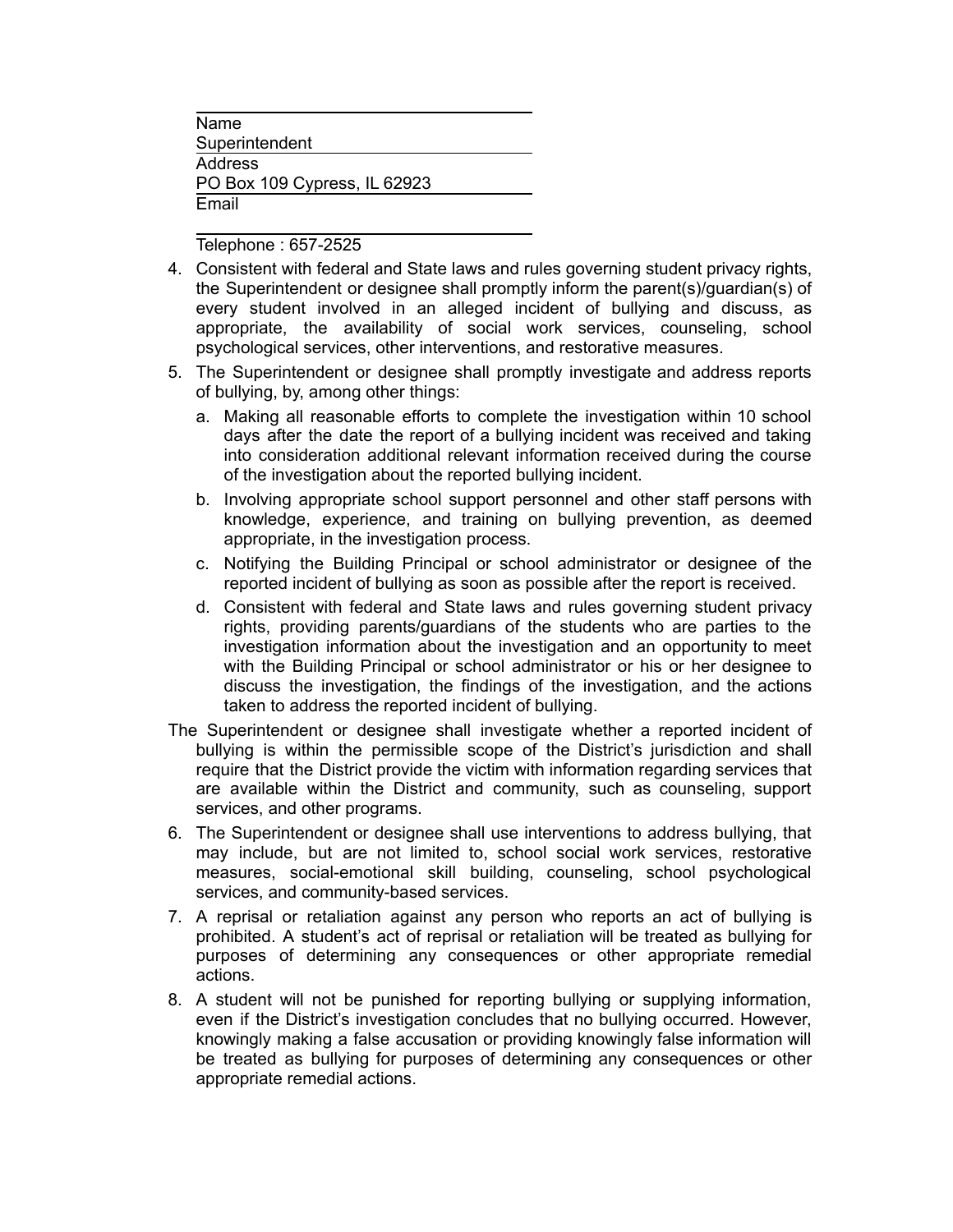Name Superintendent **Address** PO Box 109 Cypress, IL 62923 Email

Telephone : 657-2525

- 4. Consistent with federal and State laws and rules governing student privacy rights, the Superintendent or designee shall promptly inform the parent(s)/guardian(s) of every student involved in an alleged incident of bullying and discuss, as appropriate, the availability of social work services, counseling, school psychological services, other interventions, and restorative measures.
- 5. The Superintendent or designee shall promptly investigate and address reports of bullying, by, among other things:
	- a. Making all reasonable efforts to complete the investigation within 10 school days after the date the report of a bullying incident was received and taking into consideration additional relevant information received during the course of the investigation about the reported bullying incident.
	- b. Involving appropriate school support personnel and other staff persons with knowledge, experience, and training on bullying prevention, as deemed appropriate, in the investigation process.
	- c. Notifying the Building Principal or school administrator or designee of the reported incident of bullying as soon as possible after the report is received.
	- d. Consistent with federal and State laws and rules governing student privacy rights, providing parents/guardians of the students who are parties to the investigation information about the investigation and an opportunity to meet with the Building Principal or school administrator or his or her designee to discuss the investigation, the findings of the investigation, and the actions taken to address the reported incident of bullying.
- The Superintendent or designee shall investigate whether a reported incident of bullying is within the permissible scope of the District's jurisdiction and shall require that the District provide the victim with information regarding services that are available within the District and community, such as counseling, support services, and other programs.
- 6. The Superintendent or designee shall use interventions to address bullying, that may include, but are not limited to, school social work services, restorative measures, social-emotional skill building, counseling, school psychological services, and community-based services.
- 7. A reprisal or retaliation against any person who reports an act of bullying is prohibited. A student's act of reprisal or retaliation will be treated as bullying for purposes of determining any consequences or other appropriate remedial actions.
- 8. A student will not be punished for reporting bullying or supplying information, even if the District's investigation concludes that no bullying occurred. However, knowingly making a false accusation or providing knowingly false information will be treated as bullying for purposes of determining any consequences or other appropriate remedial actions.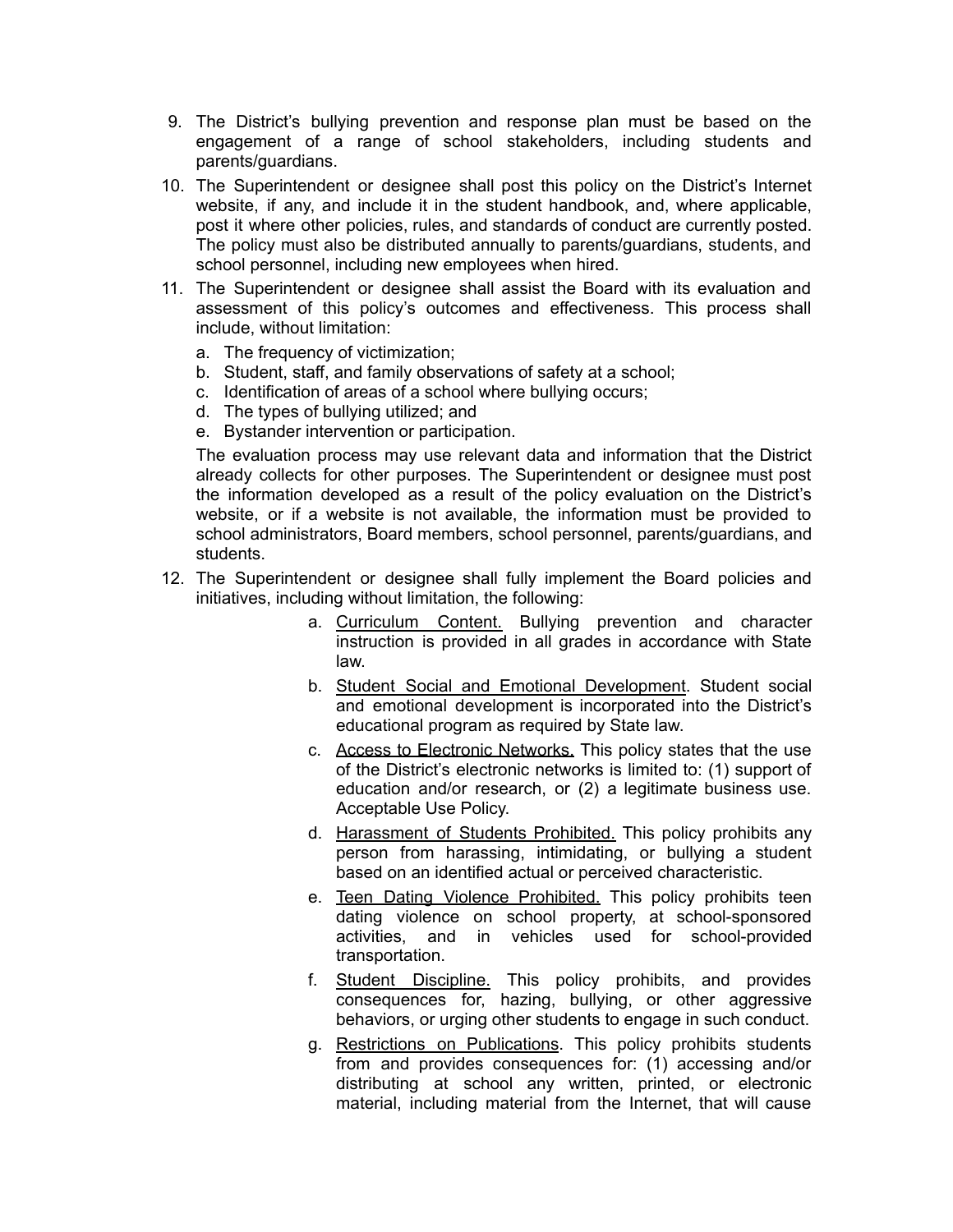- 9. The District's bullying prevention and response plan must be based on the engagement of a range of school stakeholders, including students and parents/guardians.
- 10. The Superintendent or designee shall post this policy on the District's Internet website, if any, and include it in the student handbook, and, where applicable, post it where other policies, rules, and standards of conduct are currently posted. The policy must also be distributed annually to parents/guardians, students, and school personnel, including new employees when hired.
- 11. The Superintendent or designee shall assist the Board with its evaluation and assessment of this policy's outcomes and effectiveness. This process shall include, without limitation:
	- a. The frequency of victimization;
	- b. Student, staff, and family observations of safety at a school;
	- c. Identification of areas of a school where bullying occurs;
	- d. The types of bullying utilized; and
	- e. Bystander intervention or participation.

The evaluation process may use relevant data and information that the District already collects for other purposes. The Superintendent or designee must post the information developed as a result of the policy evaluation on the District's website, or if a website is not available, the information must be provided to school administrators, Board members, school personnel, parents/guardians, and students.

- 12. The Superintendent or designee shall fully implement the Board policies and initiatives, including without limitation, the following:
	- a. Curriculum Content. Bullying prevention and character instruction is provided in all grades in accordance with State law.
	- b. Student Social and Emotional Development. Student social and emotional development is incorporated into the District's educational program as required by State law.
	- c. Access to Electronic Networks. This policy states that the use of the District's electronic networks is limited to: (1) support of education and/or research, or (2) a legitimate business use. Acceptable Use Policy.
	- d. Harassment of Students Prohibited. This policy prohibits any person from harassing, intimidating, or bullying a student based on an identified actual or perceived characteristic.
	- e. Teen Dating Violence Prohibited. This policy prohibits teen dating violence on school property, at school-sponsored activities, and in vehicles used for school-provided transportation.
	- f. Student Discipline. This policy prohibits, and provides consequences for, hazing, bullying, or other aggressive behaviors, or urging other students to engage in such conduct.
	- g. Restrictions on Publications. This policy prohibits students from and provides consequences for: (1) accessing and/or distributing at school any written, printed, or electronic material, including material from the Internet, that will cause